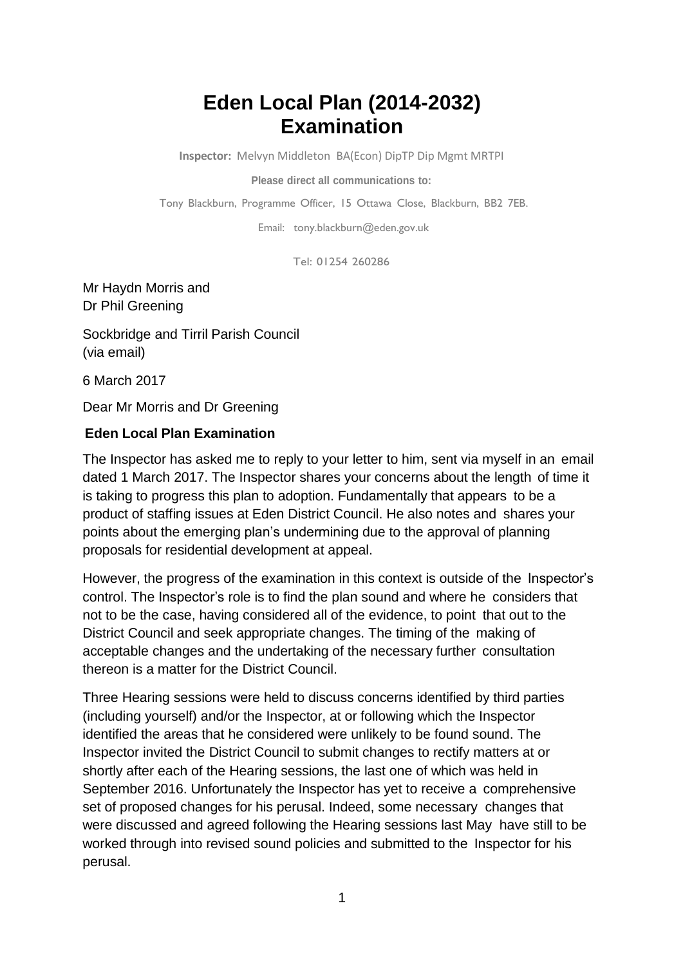## **Eden Local Plan (2014-2032) Examination**

**Inspector:** Melvyn Middleton BA(Econ) DipTP Dip Mgmt MRTPI

**Please direct all communications to:**

Tony Blackburn, Programme Officer, 15 Ottawa Close, Blackburn, BB2 7EB.

Email: [tony.blackburn@eden.gov.uk](mailto:tony.blackburn@eden.gov.uk)

Tel: 01254 260286

Mr Haydn Morris and Dr Phil Greening

Sockbridge and Tirril Parish Council (via email)

6 March 2017

Dear Mr Morris and Dr Greening

## **Eden Local Plan Examination**

The Inspector has asked me to reply to your letter to him, sent via myself in an email dated 1 March 2017. The Inspector shares your concerns about the length of time it is taking to progress this plan to adoption. Fundamentally that appears to be a product of staffing issues at Eden District Council. He also notes and shares your points about the emerging plan's undermining due to the approval of planning proposals for residential development at appeal.

However, the progress of the examination in this context is outside of the Inspector's control. The Inspector's role is to find the plan sound and where he considers that not to be the case, having considered all of the evidence, to point that out to the District Council and seek appropriate changes. The timing of the making of acceptable changes and the undertaking of the necessary further consultation thereon is a matter for the District Council.

Three Hearing sessions were held to discuss concerns identified by third parties (including yourself) and/or the Inspector, at or following which the Inspector identified the areas that he considered were unlikely to be found sound. The Inspector invited the District Council to submit changes to rectify matters at or shortly after each of the Hearing sessions, the last one of which was held in September 2016. Unfortunately the Inspector has yet to receive a comprehensive set of proposed changes for his perusal. Indeed, some necessary changes that were discussed and agreed following the Hearing sessions last May have still to be worked through into revised sound policies and submitted to the Inspector for his perusal.